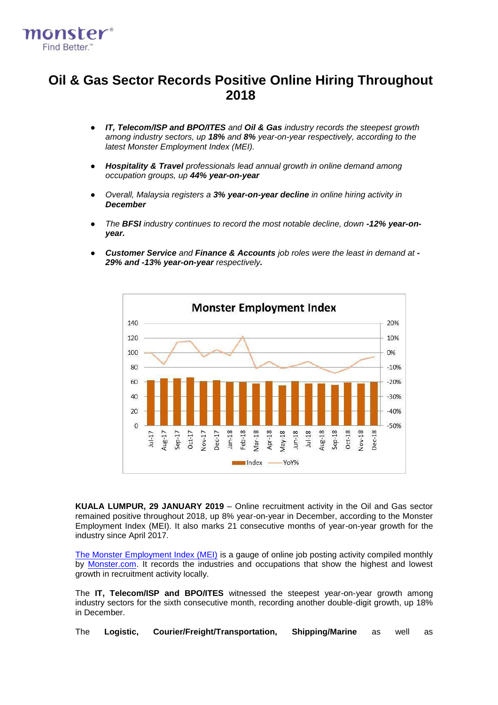

# **Oil & Gas Sector Records Positive Online Hiring Throughout 2018**

- *IT, Telecom/ISP and BPO/ITES and Oil & Gas industry records the steepest growth among industry sectors, up 18% and 8% year-on-year respectively, according to the latest Monster Employment Index (MEI).*
- *Hospitality & Travel professionals lead annual growth in online demand among occupation groups, up 44% year-on-year*
- *Overall, Malaysia registers a 3% year-on-year decline in online hiring activity in December*
- *The BFSI industry continues to record the most notable decline, down -12% year-onyear.*
- *Customer Service and Finance & Accounts job roles were the least in demand at - 29% and -13% year-on-year respectively.*



**KUALA LUMPUR, 29 JANUARY 2019** – Online recruitment activity in the Oil and Gas sector remained positive throughout 2018, up 8% year-on-year in December, according to the Monster Employment Index (MEI). It also marks 21 consecutive months of year-on-year growth for the industry since April 2017.

[The Monster Employment Index \(MEI\)](http://www.monster.com.my/employment-index/) is a gauge of online job posting activity compiled monthly by [Monster.com.](http://www.monster.com.my/) It records the industries and occupations that show the highest and lowest growth in recruitment activity locally.

The **IT, Telecom/ISP and BPO/ITES** witnessed the steepest year-on-year growth among industry sectors for the sixth consecutive month, recording another double-digit growth, up 18% in December.

The **Logistic, Courier/Freight/Transportation, Shipping/Marine** as well as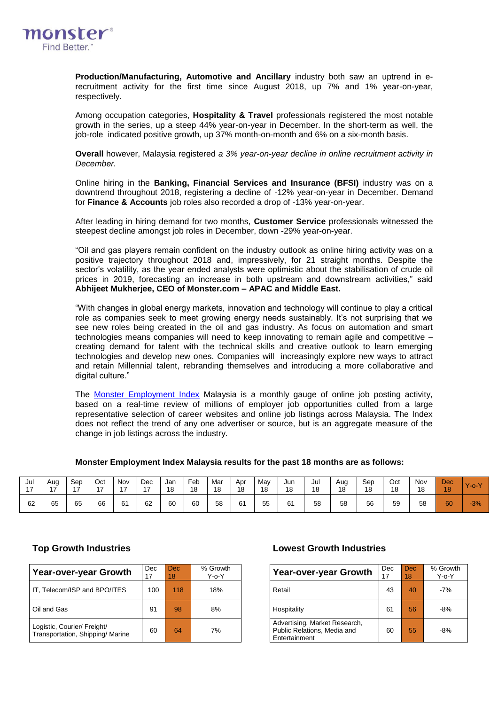

**Production/Manufacturing, Automotive and Ancillary** industry both saw an uptrend in erecruitment activity for the first time since August 2018, up 7% and 1% year-on-year, respectively.

Among occupation categories, **Hospitality & Travel** professionals registered the most notable growth in the series, up a steep 44% year-on-year in December. In the short-term as well, the job-role indicated positive growth, up 37% month-on-month and 6% on a six-month basis.

**Overall** however, Malaysia registered *a 3% year-on-year decline in online recruitment activity in December.*

Online hiring in the **Banking, Financial Services and Insurance (BFSI)** industry was on a downtrend throughout 2018, registering a decline of -12% year-on-year in December. Demand for **Finance & Accounts** job roles also recorded a drop of -13% year-on-year.

After leading in hiring demand for two months, **Customer Service** professionals witnessed the steepest decline amongst job roles in December, down -29% year-on-year.

"Oil and gas players remain confident on the industry outlook as online hiring activity was on a positive trajectory throughout 2018 and, impressively, for 21 straight months. Despite the sector's volatility, as the year ended analysts were optimistic about the stabilisation of crude oil prices in 2019, forecasting an increase in both upstream and downstream activities," said **Abhijeet Mukherjee, CEO of Monster.com – APAC and Middle East.**

"With changes in global energy markets, innovation and technology will continue to play a critical role as companies seek to meet growing energy needs sustainably. It's not surprising that we see new roles being created in the oil and gas industry. As focus on automation and smart technologies means companies will need to keep innovating to remain agile and competitive – creating demand for talent with the technical skills and creative outlook to learn emerging technologies and develop new ones. Companies will increasingly explore new ways to attract and retain Millennial talent, rebranding themselves and introducing a more collaborative and digital culture."

The [Monster Employment Index](http://www.monster.com.my/employment-index/) Malaysia is a monthly gauge of online job posting activity, based on a real-time review of millions of employer job opportunities culled from a large representative selection of career websites and online job listings across Malaysia. The Index does not reflect the trend of any one advertiser or source, but is an aggregate measure of the change in job listings across the industry.

| Jul            | Aug            | Sep            | Oct            | Nov   | Dec            | Jan | Feb | Mar | Apr | May | Jun | Jul | Aug | Sep | Oct | Nov | <b>Dec</b> | $\vee$                |
|----------------|----------------|----------------|----------------|-------|----------------|-----|-----|-----|-----|-----|-----|-----|-----|-----|-----|-----|------------|-----------------------|
| $\overline{A}$ | $\overline{A}$ | $\overline{ }$ | $\overline{a}$ | $4 -$ | $\overline{ }$ | 18  | 18  | 18  | 18  | 18  | 18  | 18  | 18  | 18  | 18  | 18  | 18         | $\sqrt{0} - \sqrt{2}$ |
| 62             | 65             | 65             | 66             | 61    | 62             | 60  | 60  | 58  | 61  | 55  | 61  | 58  | 58  | 56  | 59  | 58  | 60         | $-3%$                 |

### **Monster Employment Index Malaysia results for the past 18 months are as follows:**

| Year-over-year Growth                                           | Dec | <b>Dec</b><br>18 | % Growth<br>Y-o-Y | <b>Year-over-year Growth</b>                                                  | Dec | Dec.<br>18 | $%$ Gro<br>Y-o-' |
|-----------------------------------------------------------------|-----|------------------|-------------------|-------------------------------------------------------------------------------|-----|------------|------------------|
| IT, Telecom/ISP and BPO/ITES                                    | 100 | 118              | 18%               | Retail                                                                        | 43  | 40         | $-7%$            |
| Oil and Gas                                                     | 91  | 98               | 8%                | Hospitality                                                                   | 61  | 56         | $-8%$            |
| Logistic, Courier/ Freight/<br>Transportation, Shipping/ Marine | 60  | 64               | 7%                | Advertising, Market Research,<br>Public Relations, Media and<br>Entertainment | 60  | 55         | $-8%$            |

### **Top Growth Industries Lowest Growth Industries**

| Growth<br>Y-o-Y | Year-over-year Growth                                                         | Dec<br>17 | Dec.<br>18 | % Growth<br>$Y$ -o- $Y$ |
|-----------------|-------------------------------------------------------------------------------|-----------|------------|-------------------------|
| 18%             | Retail                                                                        | 43        | 40         | $-7%$                   |
| 8%              | Hospitality                                                                   | 61        | 56         | $-8%$                   |
| 7%              | Advertising, Market Research,<br>Public Relations, Media and<br>Entertainment | 60        | 55         | -8%                     |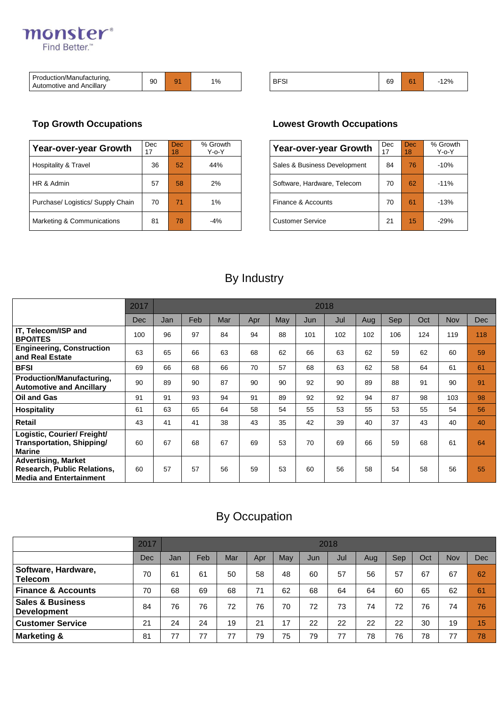# monster® Find Better.<sup>™</sup>

| $\overline{\phantom{0}}$<br>Production/Manufacturing.<br>. .<br><br>Ancillarv<br>Automotive and | 90 | ۵ŕ<br>້ | $\sim$<br>l 70 |  | <b>BFS</b><br>ম | GΟ<br>ບະ | <b>Service</b><br>б١ | 12% |
|-------------------------------------------------------------------------------------------------|----|---------|----------------|--|-----------------|----------|----------------------|-----|
|-------------------------------------------------------------------------------------------------|----|---------|----------------|--|-----------------|----------|----------------------|-----|

| Year-over-year Growth             | Dec. | Dec.<br>18 | % Growth<br>Y-o-Y | Year-over-year Growth        | <b>Dec</b> | Dec.<br>18 <sup>1</sup> | % Grov<br>Y-o-Y |
|-----------------------------------|------|------------|-------------------|------------------------------|------------|-------------------------|-----------------|
| Hospitality & Travel              | 36   | 52         | 44%               | Sales & Business Development | 84         | 76                      | $-10%$          |
| HR & Admin                        | 57   | 58         | 2%                | Software, Hardware, Telecom  | 70         | 62                      | $-11%$          |
| Purchase/ Logistics/ Supply Chain | 70   | 71         | $1\%$             | Finance & Accounts           | 70         | 61                      | $-13%$          |
| Marketing & Communications        | 81   | 78         | -4%               | <b>Customer Service</b>      | 21         | 15                      | $-29%$          |

## **Top Growth Occupations Lowest Growth Occupations**

| Growth<br>Y-o-Y | <b>Year-over-year Growth</b> | Dec<br>17 | Dec<br>18 | % Growth<br>Y-o-Y |
|-----------------|------------------------------|-----------|-----------|-------------------|
| 44%             | Sales & Business Development | 84        | 76        | $-10%$            |
| 2%              | Software, Hardware, Telecom  | 70        | 62        | $-11%$            |
| 1%              | Finance & Accounts           | 70        | 61        | $-13%$            |
| $-4%$           | <b>Customer Service</b>      | 21        | 15        | $-29%$            |

# By Industry

|                                                                                                    | 2017 |     | 2018 |     |     |     |     |     |     |     |     |            |            |  |
|----------------------------------------------------------------------------------------------------|------|-----|------|-----|-----|-----|-----|-----|-----|-----|-----|------------|------------|--|
|                                                                                                    | Dec  | Jan | Feb  | Mar | Apr | May | Jun | Jul | Aug | Sep | Oct | <b>Nov</b> | <b>Dec</b> |  |
| IT, Telecom/ISP and<br><b>BPO/ITES</b>                                                             | 100  | 96  | 97   | 84  | 94  | 88  | 101 | 102 | 102 | 106 | 124 | 119        | 118        |  |
| <b>Engineering, Construction</b><br>and Real Estate                                                | 63   | 65  | 66   | 63  | 68  | 62  | 66  | 63  | 62  | 59  | 62  | 60         | 59         |  |
| <b>BFSI</b>                                                                                        | 69   | 66  | 68   | 66  | 70  | 57  | 68  | 63  | 62  | 58  | 64  | 61         | 61         |  |
| Production/Manufacturing,<br><b>Automotive and Ancillary</b>                                       | 90   | 89  | 90   | 87  | 90  | 90  | 92  | 90  | 89  | 88  | 91  | 90         | 91         |  |
| Oil and Gas                                                                                        | 91   | 91  | 93   | 94  | 91  | 89  | 92  | 92  | 94  | 87  | 98  | 103        | 98         |  |
| <b>Hospitality</b>                                                                                 | 61   | 63  | 65   | 64  | 58  | 54  | 55  | 53  | 55  | 53  | 55  | 54         | 56         |  |
| Retail                                                                                             | 43   | 41  | 41   | 38  | 43  | 35  | 42  | 39  | 40  | 37  | 43  | 40         | 40         |  |
| Logistic, Courier/ Freight/<br>Transportation, Shipping/<br><b>Marine</b>                          | 60   | 67  | 68   | 67  | 69  | 53  | 70  | 69  | 66  | 59  | 68  | 61         | 64         |  |
| <b>Advertising, Market</b><br><b>Research, Public Relations,</b><br><b>Media and Entertainment</b> | 60   | 57  | 57   | 56  | 59  | 53  | 60  | 56  | 58  | 54  | 58  | 56         | 55         |  |

# By Occupation

|                                                   | 2017 |     | 2018 |     |     |     |     |     |     |     |     |     |            |  |
|---------------------------------------------------|------|-----|------|-----|-----|-----|-----|-----|-----|-----|-----|-----|------------|--|
|                                                   | Dec  | Jan | Feb  | Mar | Apr | May | Jun | Jul | Aug | Sep | Oct | Nov | <b>Dec</b> |  |
| Software, Hardware,<br><b>Telecom</b>             | 70   | 61  | 61   | 50  | 58  | 48  | 60  | 57  | 56  | 57  | 67  | 67  | 62         |  |
| <b>Finance &amp; Accounts</b>                     | 70   | 68  | 69   | 68  | 71  | 62  | 68  | 64  | 64  | 60  | 65  | 62  | 61         |  |
| <b>Sales &amp; Business</b><br><b>Development</b> | 84   | 76  | 76   | 72  | 76  | 70  | 72  | 73  | 74  | 72  | 76  | 74  | 76         |  |
| <b>Customer Service</b>                           | 21   | 24  | 24   | 19  | 21  | 17  | 22  | 22  | 22  | 22  | 30  | 19  | 15         |  |
| <b>Marketing &amp;</b>                            | 81   | 77  | 77   | 77  | 79  | 75  | 79  | 77  | 78  | 76  | 78  | 77  | 78         |  |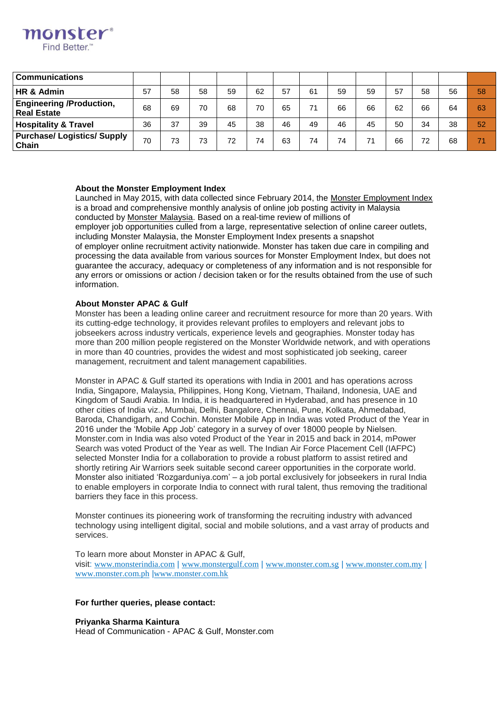

## **About the Monster Employment Index**

monster **Find Better** 

> Launched in May 2015, with data collected since February 2014, the [Monster Employment Index](http://www.monster.com.my/employment-index/) is a broad and comprehensive monthly analysis of online job posting activity in Malaysia conducted by [Monster Malaysia.](http://www.monster.com.my/) Based on a real-time review of millions of employer job opportunities culled from a large, representative selection of online career outlets, including Monster Malaysia, the Monster Employment Index presents a snapshot of employer online recruitment activity nationwide. Monster has taken due care in compiling and processing the data available from various sources for Monster Employment Index, but does not guarantee the accuracy, adequacy or completeness of any information and is not responsible for any errors or omissions or action / decision taken or for the results obtained from the use of such information.

#### **About Monster APAC & Gulf**

Monster has been a leading online career and recruitment resource for more than 20 years. With its cutting-edge technology, it provides relevant profiles to employers and relevant jobs to jobseekers across industry verticals, experience levels and geographies. Monster today has more than 200 million people registered on the Monster Worldwide network, and with operations in more than 40 countries, provides the widest and most sophisticated job seeking, career management, recruitment and talent management capabilities.

Monster in APAC & Gulf started its operations with India in 2001 and has operations across India, Singapore, Malaysia, Philippines, Hong Kong, Vietnam, Thailand, Indonesia, UAE and Kingdom of Saudi Arabia. In India, it is headquartered in Hyderabad, and has presence in 10 other cities of India viz., Mumbai, Delhi, Bangalore, Chennai, Pune, Kolkata, Ahmedabad, Baroda, Chandigarh, and Cochin. Monster Mobile App in India was voted Product of the Year in 2016 under the 'Mobile App Job' category in a survey of over 18000 people by Nielsen. Monster.com in India was also voted Product of the Year in 2015 and back in 2014, mPower Search was voted Product of the Year as well. The Indian Air Force Placement Cell (IAFPC) selected Monster India for a collaboration to provide a robust platform to assist retired and shortly retiring Air Warriors seek suitable second career opportunities in the corporate world. Monster also initiated 'Rozgarduniya.com' – a job portal exclusively for jobseekers in rural India to enable employers in corporate India to connect with rural talent, thus removing the traditional barriers they face in this process.

Monster continues its pioneering work of transforming the recruiting industry with advanced technology using intelligent digital, social and mobile solutions, and a vast array of products and services.

To learn more about Monster in APAC & Gulf, visit: [www.monsterindia.com](http://www.monsterindia.com/) | [www.monstergulf.com](http://www.monstergulf.com/) | [www.monster.com.sg](http://www.monster.com.sg/) | [www.monster.com.my](http://www.monster.com.my/) | [www.monster.com.ph](http://www.monster.com.ph/) |[www.monster.com.hk](http://www.monster.com.hk/)

#### **For further queries, please contact:**

**Priyanka Sharma Kaintura** Head of Communication - APAC & Gulf, Monster.com